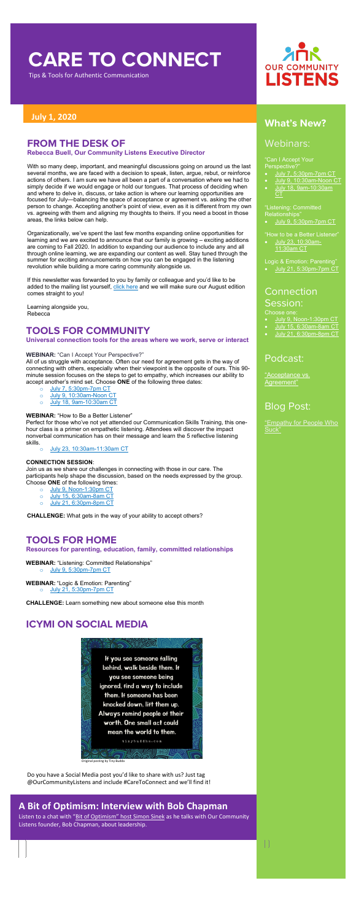# **CARE TO CONNECT**

Tips & Tools for Authentic Communication

"Can I Accept Your Perspective?

## **July 1, 2020 What's New?**

### Webinars:

- [July 7, 5:30pm-7pm CT](https://attendee.gototraining.com/r/4030074461937088001)
- [July 9, 10:30am-Noon CT](https://us02web.zoom.us/meeting/register/tZAodu-hrDMsE90Q_1Axu7GUa9_qJodNb-ws)
- [July 18, 9am-10:30am](https://attendee.gototraining.com/r/6717711888779790337)

### **Connection** Session:

"Listening: Committed Relationships"

• [July 9, 5:30pm-7pm CT](https://attendee.gototraining.com/r/6515052103430529537)

["Empathy for People Who](https://www.ourcommunitylistens.org/blog/post/michigan/2018/06/07/empathy-for-people-who-suck)  [Suck"](https://www.ourcommunitylistens.org/blog/post/michigan/2018/06/07/empathy-for-people-who-suck)

"How to be a Better Listener"

• [July 23, 10:30am-](https://us02web.zoom.us/meeting/register/tZEvceqspzovHd3nNQLJXWffB4zfjeALRmOG)[11:30am CT](https://us02web.zoom.us/meeting/register/tZEvceqspzovHd3nNQLJXWffB4zfjeALRmOG)

Logic & Emotion: Parenting"

• [July 21, 5:30pm-7pm CT](https://attendee.gototraining.com/r/6883477559177261825)

Choose one:

- [July 9, Noon-1:30pm CT](https://us02web.zoom.us/meeting/register/tZcld--tqDojHtJZEXiNQIyEgDkaHCCv1sBY)
- [July 15, 6:30am-8am CT](https://us02web.zoom.us/meeting/register/tZcvcOGvrTorG9GZcgFGvQVILcojRMqLUal3)
- [July 21, 6:30pm-8pm](https://us02web.zoom.us/meeting/register/tZEqdOmgqj4sGdyPvTI-ZcDidV42ta2VfnaG) CT

#### Podcast:

["Acceptance vs.](https://soundcloud.com/ourcommunitylistens/epi-050)  [Agreement"](https://soundcloud.com/ourcommunitylistens/epi-050)

### Blog Post:

### **FROM THE DESK OF**

**Rebecca Buell, Our Community Listens Executive Director**

With so many deep, important, and meaningful discussions going on around us the last several months, we are faced with a decision to speak, listen, argue, rebut, or reinforce actions of others. I am sure we have all been a part of a conversation where we had to simply decide if we would engage or hold our tongues. That process of deciding when and where to delve in, discuss, or take action is where our learning opportunities are focused for July—balancing the space of acceptance or agreement vs. asking the other person to change. Accepting another's point of view, even as it is different from my own vs. agreeing with them and aligning my thoughts to theirs. If you need a boost in those areas, the links below can help.

- o [July 7, 5:30pm-7pm CT](https://attendee.gototraining.com/r/4030074461937088001)
- o [July 9, 10:30am-Noon](https://us02web.zoom.us/meeting/register/tZAodu-hrDMsE90Q_1Axu7GUa9_qJodNb-ws) CT
- o [July 18, 9am-10:30am](https://attendee.gototraining.com/r/6717711888779790337) CT

Organizationally, we've spent the last few months expanding online opportunities for learning and we are excited to announce that our family is growing – exciting additions are coming to Fall 2020. In addition to expanding our audience to include any and all through online learning, we are expanding our content as well. Stay tuned through the summer for exciting announcements on how you can be engaged in the listening revolution while building a more caring community alongside us.

If this newsletter was forwarded to you by family or colleague and you'd like to be added to the mailing list yourself, [click here](https://www.ourcommunitylistens.org/newsletter) and we will make sure our August edition comes straight to you!

Learning alongside you, Rebecca

#### **TOOLS FOR COMMUNITY**

**Universal connection tools for the areas where we work, serve or interact**

#### **WEBINAR:** "Can I Accept Your Perspective?"

All of us struggle with acceptance. Often our need for agreement gets in the way of connecting with others, especially when their viewpoint is the opposite of ours. This 90 minute session focuses on the steps to get to empathy, which increases our ability to accept another's mind set. Choose **ONE** of the following three dates:

#### **WEBINAR:** "How to Be a Better Listener"

Perfect for those who've not yet attended our Communication Skills Training, this onehour class is a primer on empathetic listening. Attendees will discover the impact nonverbal communication has on their message and learn the 5 reflective listening skills.

o [July 23, 10:30am-11:30am](https://us02web.zoom.us/meeting/register/tZEvceqspzovHd3nNQLJXWffB4zfjeALRmOG) CT

#### **CONNECTION SESSION**:

Join us as we share our challenges in connecting with those in our care. The participants help shape the discussion, based on the needs expressed by the group. Choose **ONE** of the following times:

- o [July 9, Noon-1:30pm CT](https://us02web.zoom.us/meeting/register/tZcld--tqDojHtJZEXiNQIyEgDkaHCCv1sBY)
- 
- $\frac{0}{\circ}$  [July 15, 6:30am-8am CT](https://us02web.zoom.us/meeting/register/tZcvcOGvrTorG9GZcgFGvQVILcojRMqLUal3) [July 21, 6:30pm-8pm CT](https://us02web.zoom.us/meeting/register/tZEqdOmgqj4sGdyPvTI-ZcDidV42ta2VfnaG)

**CHALLENGE:** What gets in the way of your ability to accept others?



### **TOOLS FOR HOME**

#### **Resources for parenting, education, family, committed relationships**

#### **WEBINAR:** "Listening: Committed Relationships"

o [July 9, 5:30pm-7pm CT](https://attendee.gototraining.com/r/6515052103430529537)

**WEBINAR:** "Logic & Emotion: Parenting"

o [July 21, 5:30pm-7pm CT](https://attendee.gototraining.com/r/6883477559177261825)

**CHALLENGE:** Learn something new about someone else this month

### **ICYMI ON SOCIAL MEDIA**



Original posting by Tiny Budda

Do you have a Social Media post you'd like to share with us? Just tag @OurCommunityListens and include #CareToConnect and we'll find it!

#### **A Bit of Optimism: Interview with Bob Chapman**

Listen to a chat with ["Bit of Optimism"](https://www.youtube.com/watch?v=T_ysqiRw9fc&feature=em-uploademail) host Simon Sinek as he talks with Our Community Listens founder, Bob Chapman, about leadership.